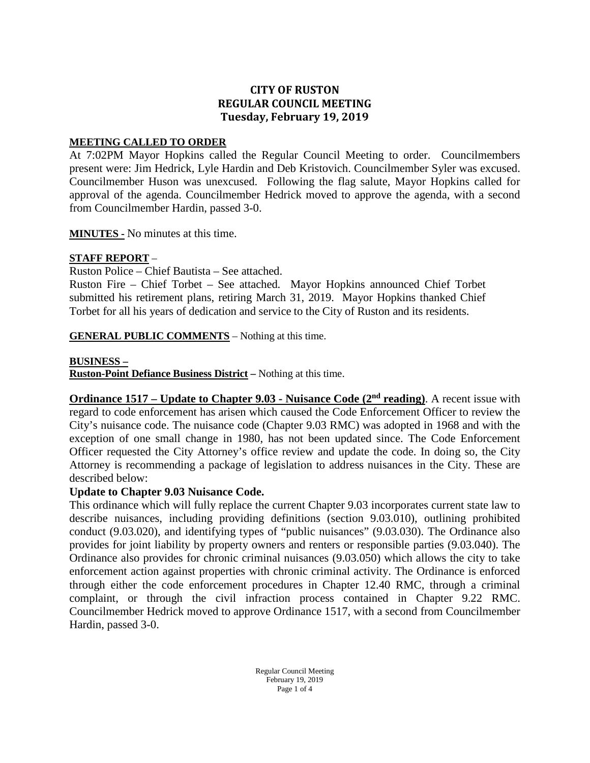## **CITY OF RUSTON REGULAR COUNCIL MEETING Tuesday, February 19, 2019**

#### **MEETING CALLED TO ORDER**

At 7:02PM Mayor Hopkins called the Regular Council Meeting to order. Councilmembers present were: Jim Hedrick, Lyle Hardin and Deb Kristovich. Councilmember Syler was excused. Councilmember Huson was unexcused. Following the flag salute, Mayor Hopkins called for approval of the agenda. Councilmember Hedrick moved to approve the agenda, with a second from Councilmember Hardin, passed 3-0.

**MINUTES -** No minutes at this time.

### **STAFF REPORT** –

Ruston Police – Chief Bautista – See attached.

Ruston Fire – Chief Torbet – See attached. Mayor Hopkins announced Chief Torbet submitted his retirement plans, retiring March 31, 2019. Mayor Hopkins thanked Chief Torbet for all his years of dedication and service to the City of Ruston and its residents.

**GENERAL PUBLIC COMMENTS** – Nothing at this time.

#### **BUSINESS –**

**Ruston-Point Defiance Business District –** Nothing at this time.

**Ordinance 1517 – Update to Chapter 9.03 - Nuisance Code (2nd reading)**. A recent issue with regard to code enforcement has arisen which caused the Code Enforcement Officer to review the City's nuisance code. The nuisance code (Chapter 9.03 RMC) was adopted in 1968 and with the exception of one small change in 1980, has not been updated since. The Code Enforcement Officer requested the City Attorney's office review and update the code. In doing so, the City Attorney is recommending a package of legislation to address nuisances in the City. These are described below:

### **Update to Chapter 9.03 Nuisance Code.**

This ordinance which will fully replace the current Chapter 9.03 incorporates current state law to describe nuisances, including providing definitions (section 9.03.010), outlining prohibited conduct (9.03.020), and identifying types of "public nuisances" (9.03.030). The Ordinance also provides for joint liability by property owners and renters or responsible parties (9.03.040). The Ordinance also provides for chronic criminal nuisances (9.03.050) which allows the city to take enforcement action against properties with chronic criminal activity. The Ordinance is enforced through either the code enforcement procedures in Chapter 12.40 RMC, through a criminal complaint, or through the civil infraction process contained in Chapter 9.22 RMC. Councilmember Hedrick moved to approve Ordinance 1517, with a second from Councilmember Hardin, passed 3-0.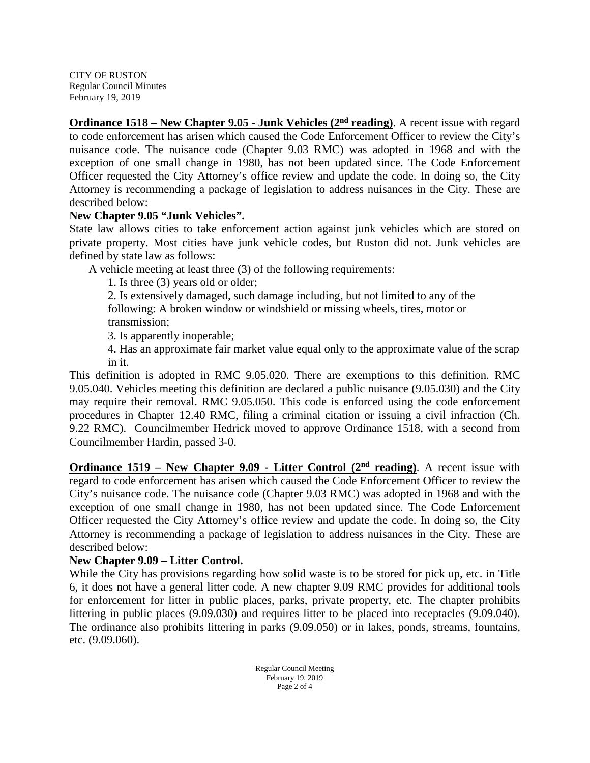CITY OF RUSTON Regular Council Minutes February 19, 2019

**Ordinance 1518 – New Chapter 9.05 - Junk Vehicles (2nd reading)**. A recent issue with regard to code enforcement has arisen which caused the Code Enforcement Officer to review the City's nuisance code. The nuisance code (Chapter 9.03 RMC) was adopted in 1968 and with the exception of one small change in 1980, has not been updated since. The Code Enforcement Officer requested the City Attorney's office review and update the code. In doing so, the City Attorney is recommending a package of legislation to address nuisances in the City. These are described below:

### **New Chapter 9.05 "Junk Vehicles".**

State law allows cities to take enforcement action against junk vehicles which are stored on private property. Most cities have junk vehicle codes, but Ruston did not. Junk vehicles are defined by state law as follows:

A vehicle meeting at least three (3) of the following requirements:

1. Is three (3) years old or older;

2. Is extensively damaged, such damage including, but not limited to any of the following: A broken window or windshield or missing wheels, tires, motor or transmission;

3. Is apparently inoperable;

4. Has an approximate fair market value equal only to the approximate value of the scrap in it.

This definition is adopted in RMC 9.05.020. There are exemptions to this definition. RMC 9.05.040. Vehicles meeting this definition are declared a public nuisance (9.05.030) and the City may require their removal. RMC 9.05.050. This code is enforced using the code enforcement procedures in Chapter 12.40 RMC, filing a criminal citation or issuing a civil infraction (Ch. 9.22 RMC). Councilmember Hedrick moved to approve Ordinance 1518, with a second from Councilmember Hardin, passed 3-0.

**Ordinance 1519 – New Chapter 9.09 - Litter Control (2<sup>nd</sup> reading)**. A recent issue with regard to code enforcement has arisen which caused the Code Enforcement Officer to review the City's nuisance code. The nuisance code (Chapter 9.03 RMC) was adopted in 1968 and with the exception of one small change in 1980, has not been updated since. The Code Enforcement Officer requested the City Attorney's office review and update the code. In doing so, the City Attorney is recommending a package of legislation to address nuisances in the City. These are described below:

## **New Chapter 9.09 – Litter Control.**

While the City has provisions regarding how solid waste is to be stored for pick up, etc. in Title 6, it does not have a general litter code. A new chapter 9.09 RMC provides for additional tools for enforcement for litter in public places, parks, private property, etc. The chapter prohibits littering in public places (9.09.030) and requires litter to be placed into receptacles (9.09.040). The ordinance also prohibits littering in parks (9.09.050) or in lakes, ponds, streams, fountains, etc. (9.09.060).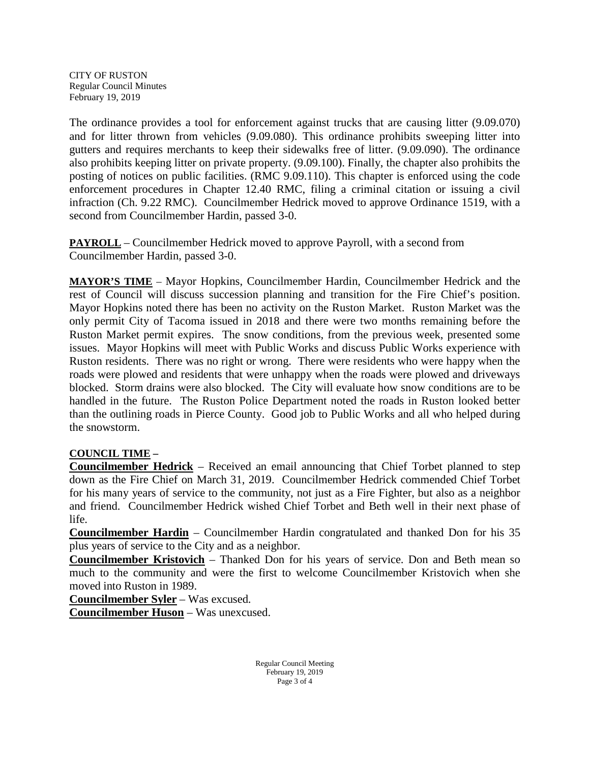CITY OF RUSTON Regular Council Minutes February 19, 2019

The ordinance provides a tool for enforcement against trucks that are causing litter (9.09.070) and for litter thrown from vehicles (9.09.080). This ordinance prohibits sweeping litter into gutters and requires merchants to keep their sidewalks free of litter. (9.09.090). The ordinance also prohibits keeping litter on private property. (9.09.100). Finally, the chapter also prohibits the posting of notices on public facilities. (RMC 9.09.110). This chapter is enforced using the code enforcement procedures in Chapter 12.40 RMC, filing a criminal citation or issuing a civil infraction (Ch. 9.22 RMC). Councilmember Hedrick moved to approve Ordinance 1519, with a second from Councilmember Hardin, passed 3-0.

**PAYROLL** – Councilmember Hedrick moved to approve Payroll, with a second from Councilmember Hardin, passed 3-0.

**MAYOR'S TIME** – Mayor Hopkins, Councilmember Hardin, Councilmember Hedrick and the rest of Council will discuss succession planning and transition for the Fire Chief's position. Mayor Hopkins noted there has been no activity on the Ruston Market. Ruston Market was the only permit City of Tacoma issued in 2018 and there were two months remaining before the Ruston Market permit expires. The snow conditions, from the previous week, presented some issues. Mayor Hopkins will meet with Public Works and discuss Public Works experience with Ruston residents. There was no right or wrong. There were residents who were happy when the roads were plowed and residents that were unhappy when the roads were plowed and driveways blocked. Storm drains were also blocked. The City will evaluate how snow conditions are to be handled in the future. The Ruston Police Department noted the roads in Ruston looked better than the outlining roads in Pierce County. Good job to Public Works and all who helped during the snowstorm.

## **COUNCIL TIME –**

**Councilmember Hedrick** – Received an email announcing that Chief Torbet planned to step down as the Fire Chief on March 31, 2019. Councilmember Hedrick commended Chief Torbet for his many years of service to the community, not just as a Fire Fighter, but also as a neighbor and friend. Councilmember Hedrick wished Chief Torbet and Beth well in their next phase of life.

**Councilmember Hardin** – Councilmember Hardin congratulated and thanked Don for his 35 plus years of service to the City and as a neighbor.

**Councilmember Kristovich** – Thanked Don for his years of service. Don and Beth mean so much to the community and were the first to welcome Councilmember Kristovich when she moved into Ruston in 1989.

**Councilmember Syler** – Was excused.

**Councilmember Huson** – Was unexcused.